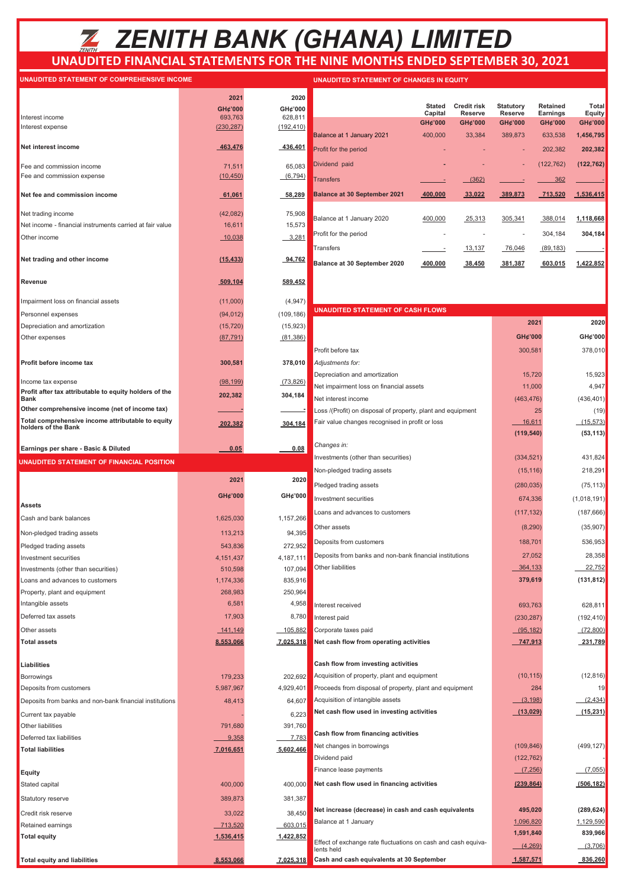# *ZENITH BANK (GHANA) LIMITED*

## **UNAUDITED FINANCIAL STATEMENTS FOR THE NINE MONTHS ENDED SEPTEMBER 30, 2021**

#### **UNAUDITED STATEMENT OF COMPREHENSIVE INCOME UNAUDITED STATEMENT OF COMPREHENSIVE INCOME**

| UNAUDITED STATEMENT OF COMPREN                                |                    |                                                                                                                           |
|---------------------------------------------------------------|--------------------|---------------------------------------------------------------------------------------------------------------------------|
|                                                               | 2021               | 2020                                                                                                                      |
|                                                               | GH¢'000            | GH¢'000                                                                                                                   |
| Interest income                                               | 693,763            | 628,811                                                                                                                   |
| Interest expense                                              | (230, 287)         | (192, 410)                                                                                                                |
| Net interest income                                           | 463,476            | 436,401                                                                                                                   |
| Fee and commission income                                     | 71,511             | 65,083                                                                                                                    |
| Fee and commission expense                                    | (10, 450)          | (6, 794)                                                                                                                  |
| Net fee and commission income                                 | 61,061             | 58,289                                                                                                                    |
| Net trading income                                            | (42,082)           | 75,908                                                                                                                    |
| Net income - financial instruments carried at fair value      | 16,611             | 15,573                                                                                                                    |
| Other income                                                  | 10,038             | 3,281                                                                                                                     |
|                                                               |                    |                                                                                                                           |
| Net trading and other income                                  | (15, 433)          | 94,762                                                                                                                    |
| Revenue                                                       | 509,104            | 589,452                                                                                                                   |
| Impairment loss on financial assets                           | (11,000)           | (4, 947)                                                                                                                  |
| Personnel expenses                                            | (94, 012)          | (109, 186)                                                                                                                |
| Depreciation and amortization                                 | (15, 720)          | (15, 923)                                                                                                                 |
| Other expenses                                                | (87, 791)          | (81, 386)                                                                                                                 |
|                                                               |                    |                                                                                                                           |
| Profit before income tax                                      | 300,581            | 378,010                                                                                                                   |
| Income tax expense                                            | (98, 199)          | (73, 826)                                                                                                                 |
| Profit after tax attributable to equity holders of the        | 202,382            | 304,184                                                                                                                   |
| <b>Bank</b><br>Other comprehensive income (net of income tax) |                    |                                                                                                                           |
| Total comprehensive income attributable to equity             |                    |                                                                                                                           |
| holders of the Bank                                           | 202,382            | 304,184                                                                                                                   |
|                                                               |                    |                                                                                                                           |
| Earnings per share - Basic & Diluted                          | 0.05               | 0.08                                                                                                                      |
|                                                               |                    |                                                                                                                           |
| UNAUDITED STATEMENT OF FINANCIAL POSITION                     |                    |                                                                                                                           |
|                                                               | 2021               | 2020                                                                                                                      |
|                                                               | GH¢'000            | GH¢'000                                                                                                                   |
| <b>Assets</b>                                                 |                    |                                                                                                                           |
| Cash and bank balances                                        | 1,625,030          | 1,157,266                                                                                                                 |
| Non-pledged trading assets                                    | 113,213            | 94,395                                                                                                                    |
| Pledged trading assets                                        | 543,836            | 272,952                                                                                                                   |
| Investment securities                                         | 4, 151, 437        | 4,187,111                                                                                                                 |
| Investments (other than securities)                           | 510,598            | 107,094                                                                                                                   |
| Loans and advances to customers                               | 1,174,336          | 835,916                                                                                                                   |
| Property, plant and equipment                                 | 268,983            | 250,964                                                                                                                   |
| Intangible assets                                             | 6,581              | 4,958                                                                                                                     |
| Deferred tax assets                                           | 17,903             |                                                                                                                           |
| Other assets                                                  | 141,149            |                                                                                                                           |
| <b>Total assets</b>                                           | 8,553,066          |                                                                                                                           |
| Liabilities                                                   |                    |                                                                                                                           |
| <b>Borrowings</b>                                             | 179,233            |                                                                                                                           |
| Deposits from customers                                       | 5,987,967          | 4,929,401                                                                                                                 |
|                                                               | 48,413             |                                                                                                                           |
| Deposits from banks and non-bank financial institutions       |                    |                                                                                                                           |
| Current tax payable                                           |                    |                                                                                                                           |
| Other liabilities<br>Deferred tax liabilities                 | 791,680            |                                                                                                                           |
| <b>Total liabilities</b>                                      | 9,358<br>7,016,651 |                                                                                                                           |
|                                                               |                    |                                                                                                                           |
| Equity                                                        |                    |                                                                                                                           |
| Stated capital                                                | 400,000            |                                                                                                                           |
| Statutory reserve                                             | 389,873            | 8,780<br>105,882<br>7,025,318<br>202,692<br>64,607<br>6,223<br>391,760<br><u>7,783</u><br>5,602,466<br>400,000<br>381,387 |
| Credit risk reserve                                           | 33,022             | 38,450                                                                                                                    |
| Retained earnings                                             | 713,520            | 603,015                                                                                                                   |

**Total equity and liabilities 8,553,066** 

|                                     | <b>Stated</b><br>Capital | Credit risk<br><b>Reserve</b> | <b>Statutory</b><br>Reserve | Retained<br>Earnings | Total<br>Equity |
|-------------------------------------|--------------------------|-------------------------------|-----------------------------|----------------------|-----------------|
|                                     | GH¢'000                  | GH¢'000                       | GH¢'000                     | GH¢'000              | GH¢'000         |
| Balance at 1 January 2021           | 400,000                  | 33.384                        | 389,873                     | 633.538              | 1,456,795       |
| Profit for the period               |                          |                               |                             | 202,382              | 202,382         |
| Dividend paid                       |                          |                               | ٠                           | (122, 762)           | (122, 762)      |
| <b>Transfers</b>                    |                          | (362)                         |                             | 362                  |                 |
| <b>Balance at 30 September 2021</b> | 400.000                  | 33,022                        | 389.873                     | 713,520              | 1.536.415       |
|                                     |                          |                               |                             |                      |                 |
| Balance at 1 January 2020           | 400.000                  | 25,313                        | 305,341                     | 388,014              | 1,118,668       |
| Profit for the period               |                          |                               |                             | 304,184              | 304,184         |
| Transfers                           |                          | 13.137                        | 76,046                      | (89, 183)            |                 |
| Balance at 30 September 2020        | 400.000                  | 38.450                        | 381.387                     | 603.015              | 1.422.852       |

**UNAUDITED STATEMENT OF CHANGES IN EQUITY** 

| (109, 186)         | <b>UNAUDITED STATEMENT OF CASH FLOWS</b>                                    |            |                        |
|--------------------|-----------------------------------------------------------------------------|------------|------------------------|
| (15, 923)          |                                                                             | 2021       | 2020                   |
| (81, 386)          |                                                                             | GH¢'000    | GH¢'000                |
|                    | Profit before tax                                                           | 300,581    | 378,010                |
| 378,010            | Adjustments for:                                                            |            |                        |
|                    | Depreciation and amortization                                               | 15,720     | 15,923                 |
| (73, 826)          | Net impairment loss on financial assets                                     | 11,000     | 4,947                  |
| 304,184            | Net interest income                                                         | (463, 476) | (436, 401)             |
|                    | Loss /(Profit) on disposal of property, plant and equipment                 | 25         | (19)                   |
| 304,184            | Fair value changes recognised in profit or loss                             | 16,611     | (15, 573)              |
|                    |                                                                             | (119, 540) | (53, 113)              |
| 0.08               | Changes in:                                                                 |            |                        |
|                    | Investments (other than securities)                                         | (334, 521) | 431,824                |
| 2020               | Non-pledged trading assets                                                  | (15, 116)  | 218,291                |
|                    | Pledged trading assets                                                      | (280, 035) | (75, 113)              |
| GH¢'000            | Investment securities                                                       | 674,336    | (1,018,191)            |
| 1,157,266          | Loans and advances to customers                                             | (117, 132) | (187, 666)             |
| 94,395             | Other assets                                                                | (8, 290)   | (35,907)               |
| 272,952            | Deposits from customers                                                     | 188,701    | 536,953                |
| 4,187,111          | Deposits from banks and non-bank financial institutions                     | 27,052     | 28,358                 |
| 107.094            | Other liabilities                                                           | 364,133    | 22,752                 |
| 835,916            |                                                                             | 379,619    | (131, 812)             |
| 250,964            |                                                                             |            |                        |
| 4,958              | Interest received                                                           | 693,763    | 628,811                |
| 8,780              | Interest paid                                                               | (230, 287) | (192, 410)             |
| 105,882            | Corporate taxes paid                                                        | (95, 182)  | (72,800)               |
| 7,025,318          | Net cash flow from operating activities                                     | 747,913    | 231,789                |
|                    |                                                                             |            |                        |
|                    | Cash flow from investing activities                                         |            |                        |
| 202,692            | Acquisition of property, plant and equipment                                | (10, 115)  | (12, 816)              |
| 4,929,401          | Proceeds from disposal of property, plant and equipment                     | 284        | 19                     |
| 64,607             | Acquisition of intangible assets                                            | (3, 198)   | (2, 434)               |
| 6,223              | Net cash flow used in investing activities                                  | (13,029)   | (15, 231)              |
| 391,760            | Cash flow from financing activities                                         |            |                        |
| 7,783<br>5,602,466 | Net changes in borrowings                                                   | (109, 846) | (499, 127)             |
|                    | Dividend paid                                                               | (122, 762) |                        |
|                    | Finance lease payments                                                      | (7,256)    | (7.055)                |
| 400,000            | Net cash flow used in financing activities                                  | (239, 864) | (506, 182)             |
| 381,387            |                                                                             |            |                        |
|                    | Net increase (decrease) in cash and cash equivalents                        | 495,020    | (289, 624)             |
| 38,450<br>603,015  | Balance at 1 January                                                        | 1,096,820  | 1,129,590              |
| 1,422,852          |                                                                             | 1,591,840  | 839,966 <mark> </mark> |
|                    | Effect of exchange rate fluctuations on cash and cash equiva-<br>lents held | (4, 269)   | (3,706)                |
| 7,025,318          | Cash and cash equivalents at 30 September                                   | 1,587,571  | 836,260                |